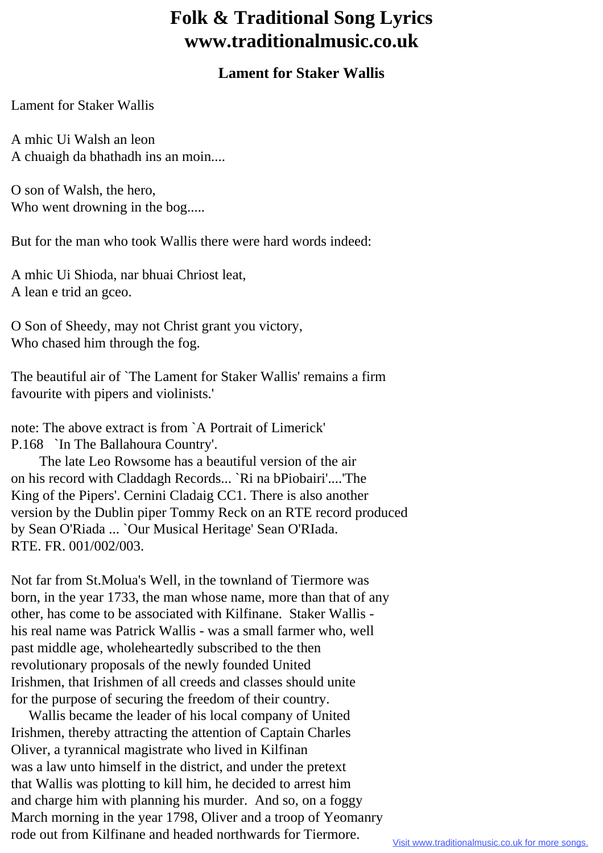## **Folk & Traditional Song Lyrics www.traditionalmusic.co.uk**

## **Lament for Staker Wallis**

Lament for Staker Wallis

A mhic Ui Walsh an leon A chuaigh da bhathadh ins an moin....

O son of Walsh, the hero, Who went drowning in the bog.....

But for the man who took Wallis there were hard words indeed:

A mhic Ui Shioda, nar bhuai Chriost leat, A lean e trid an gceo.

O Son of Sheedy, may not Christ grant you victory, Who chased him through the fog.

The beautiful air of `The Lament for Staker Wallis' remains a firm favourite with pipers and violinists.'

note: The above extract is from `A Portrait of Limerick' P.168 `In The Ballahoura Country'.

 The late Leo Rowsome has a beautiful version of the air on his record with Claddagh Records... `Ri na bPiobairi'....'The King of the Pipers'. Cernini Cladaig CC1. There is also another version by the Dublin piper Tommy Reck on an RTE record produced by Sean O'Riada ... `Our Musical Heritage' Sean O'RIada. RTE. FR. 001/002/003.

Not far from St.Molua's Well, in the townland of Tiermore was born, in the year 1733, the man whose name, more than that of any other, has come to be associated with Kilfinane. Staker Wallis his real name was Patrick Wallis - was a small farmer who, well past middle age, wholeheartedly subscribed to the then revolutionary proposals of the newly founded United Irishmen, that Irishmen of all creeds and classes should unite for the purpose of securing the freedom of their country.

 Wallis became the leader of his local company of United Irishmen, thereby attracting the attention of Captain Charles Oliver, a tyrannical magistrate who lived in Kilfinan was a law unto himself in the district, and under the pretext that Wallis was plotting to kill him, he decided to arrest him and charge him with planning his murder. And so, on a foggy March morning in the year 1798, Oliver and a troop of Yeomanry rode out from Kilfinane and headed northwards for Tiermore.